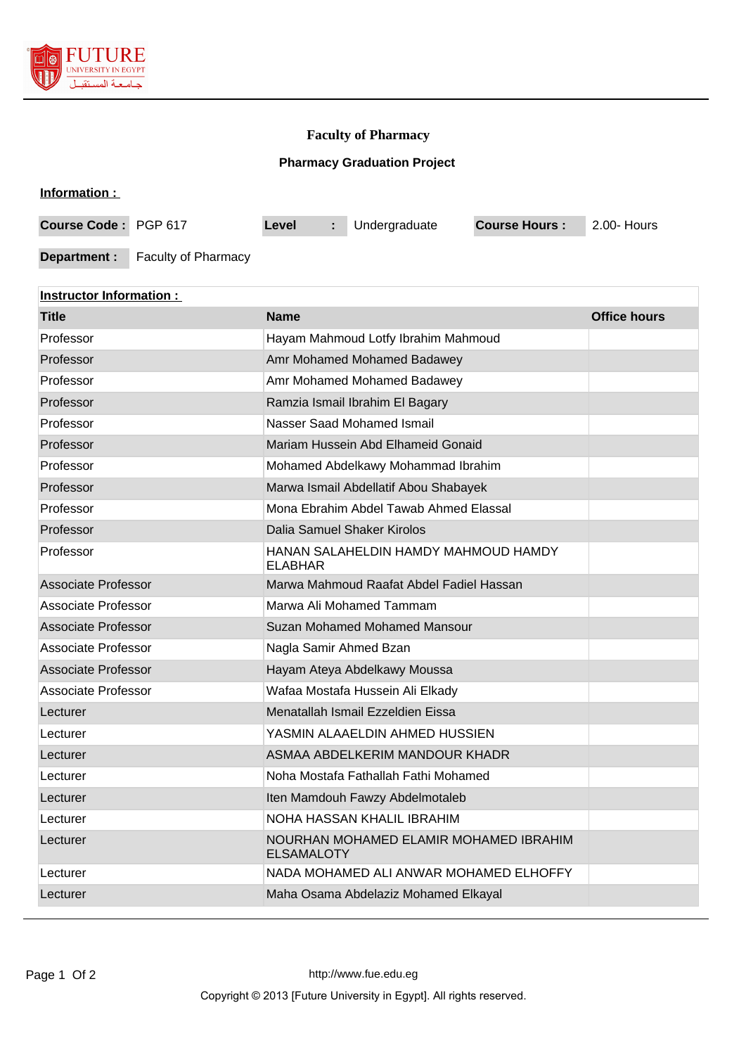

## **Faculty of Pharmacy**

## **Pharmacy Graduation Project**

| Information :        |                            |       |                           |               |                      |             |
|----------------------|----------------------------|-------|---------------------------|---------------|----------------------|-------------|
| Course Code: PGP 617 |                            | Level | $\mathbb{Z}^{\mathbb{Z}}$ | Undergraduate | <b>Course Hours:</b> | 2.00- Hours |
| Department :         | <b>Faculty of Pharmacy</b> |       |                           |               |                      |             |

| <b>Instructor Information:</b> |                                                             |                     |  |  |  |  |  |
|--------------------------------|-------------------------------------------------------------|---------------------|--|--|--|--|--|
| <b>Title</b>                   | <b>Name</b>                                                 | <b>Office hours</b> |  |  |  |  |  |
| Professor                      | Hayam Mahmoud Lotfy Ibrahim Mahmoud                         |                     |  |  |  |  |  |
| Professor                      | Amr Mohamed Mohamed Badawey                                 |                     |  |  |  |  |  |
| Professor                      | Amr Mohamed Mohamed Badawey                                 |                     |  |  |  |  |  |
| Professor                      | Ramzia Ismail Ibrahim El Bagary                             |                     |  |  |  |  |  |
| Professor                      | Nasser Saad Mohamed Ismail                                  |                     |  |  |  |  |  |
| Professor                      | Mariam Hussein Abd Elhameid Gonaid                          |                     |  |  |  |  |  |
| Professor                      | Mohamed Abdelkawy Mohammad Ibrahim                          |                     |  |  |  |  |  |
| Professor                      | Marwa Ismail Abdellatif Abou Shabayek                       |                     |  |  |  |  |  |
| Professor                      | Mona Ebrahim Abdel Tawab Ahmed Elassal                      |                     |  |  |  |  |  |
| Professor                      | Dalia Samuel Shaker Kirolos                                 |                     |  |  |  |  |  |
| Professor                      | HANAN SALAHELDIN HAMDY MAHMOUD HAMDY<br><b>ELABHAR</b>      |                     |  |  |  |  |  |
| <b>Associate Professor</b>     | Marwa Mahmoud Raafat Abdel Fadiel Hassan                    |                     |  |  |  |  |  |
| Associate Professor            | Marwa Ali Mohamed Tammam                                    |                     |  |  |  |  |  |
| <b>Associate Professor</b>     | Suzan Mohamed Mohamed Mansour                               |                     |  |  |  |  |  |
| Associate Professor            | Nagla Samir Ahmed Bzan                                      |                     |  |  |  |  |  |
| <b>Associate Professor</b>     | Hayam Ateya Abdelkawy Moussa                                |                     |  |  |  |  |  |
| <b>Associate Professor</b>     | Wafaa Mostafa Hussein Ali Elkady                            |                     |  |  |  |  |  |
| Lecturer                       | Menatallah Ismail Ezzeldien Eissa                           |                     |  |  |  |  |  |
| Lecturer                       | YASMIN ALAAELDIN AHMED HUSSIEN                              |                     |  |  |  |  |  |
| Lecturer                       | ASMAA ABDELKERIM MANDOUR KHADR                              |                     |  |  |  |  |  |
| Lecturer                       | Noha Mostafa Fathallah Fathi Mohamed                        |                     |  |  |  |  |  |
| Lecturer                       | Iten Mamdouh Fawzy Abdelmotaleb                             |                     |  |  |  |  |  |
| Lecturer                       | NOHA HASSAN KHALIL IBRAHIM                                  |                     |  |  |  |  |  |
| Lecturer                       | NOURHAN MOHAMED ELAMIR MOHAMED IBRAHIM<br><b>ELSAMALOTY</b> |                     |  |  |  |  |  |
| Lecturer                       | NADA MOHAMED ALI ANWAR MOHAMED ELHOFFY                      |                     |  |  |  |  |  |
| Lecturer                       | Maha Osama Abdelaziz Mohamed Elkayal                        |                     |  |  |  |  |  |